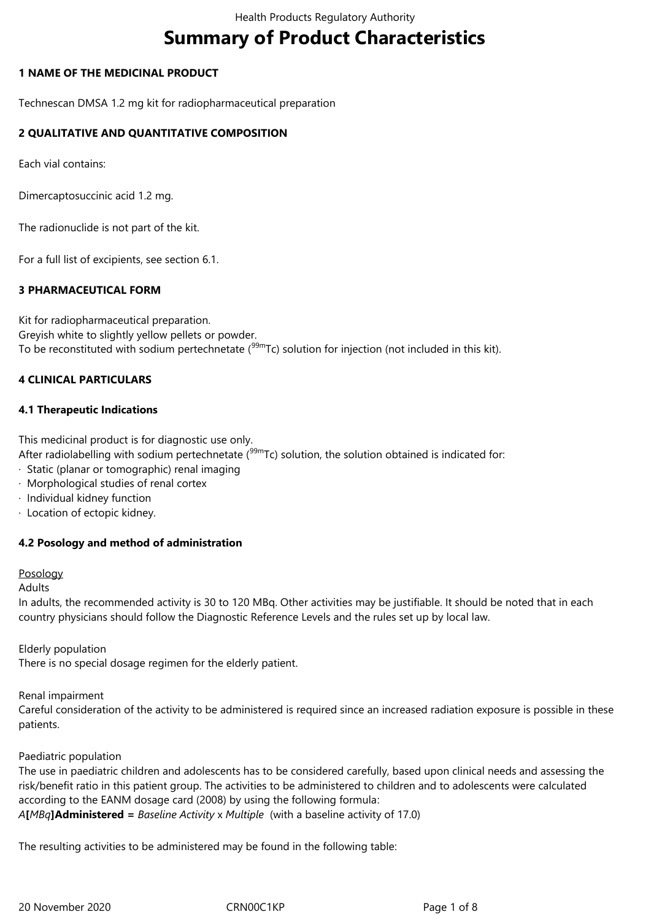# **Summary of Product Characteristics**

# **1 NAME OF THE MEDICINAL PRODUCT**

Technescan DMSA 1.2 mg kit for radiopharmaceutical preparation

# **2 QUALITATIVE AND QUANTITATIVE COMPOSITION**

Each vial contains:

Dimercaptosuccinic acid 1.2 mg.

The radionuclide is not part of the kit.

For a full list of excipients, see section 6.1.

# **3 PHARMACEUTICAL FORM**

Kit for radiopharmaceutical preparation. Greyish white to slightly yellow pellets or powder. To be reconstituted with sodium pertechnetate  $(99m)$ Tc) solution for injection (not included in this kit).

# **4 CLINICAL PARTICULARS**

# **4.1 Therapeutic Indications**

This medicinal product is for diagnostic use only.

After radiolabelling with sodium pertechnetate  $(99m)$ Tc) solution, the solution obtained is indicated for:

- · Static (planar or tomographic) renal imaging
- · Morphological studies of renal cortex
- · Individual kidney function
- · Location of ectopic kidney.

# **4.2 Posology and method of administration**

#### Posology

Adults

In adults, the recommended activity is 30 to 120 MBq. Other activities may be justifiable. It should be noted that in each country physicians should follow the Diagnostic Reference Levels and the rules set up by local law.

Elderly population

There is no special dosage regimen for the elderly patient.

Renal impairment

Careful consideration of the activity to be administered is required since an increased radiation exposure is possible in these patients.

#### Paediatric population

The use in paediatric children and adolescents has to be considered carefully, based upon clinical needs and assessing the risk/benefit ratio in this patient group. The activities to be administered to children and to adolescents were calculated according to the EANM dosage card (2008) by using the following formula: *A***[***MBq***]Administered =** *Baseline Activity* x *Multiple* (with a baseline activity of 17.0)

The resulting activities to be administered may be found in the following table: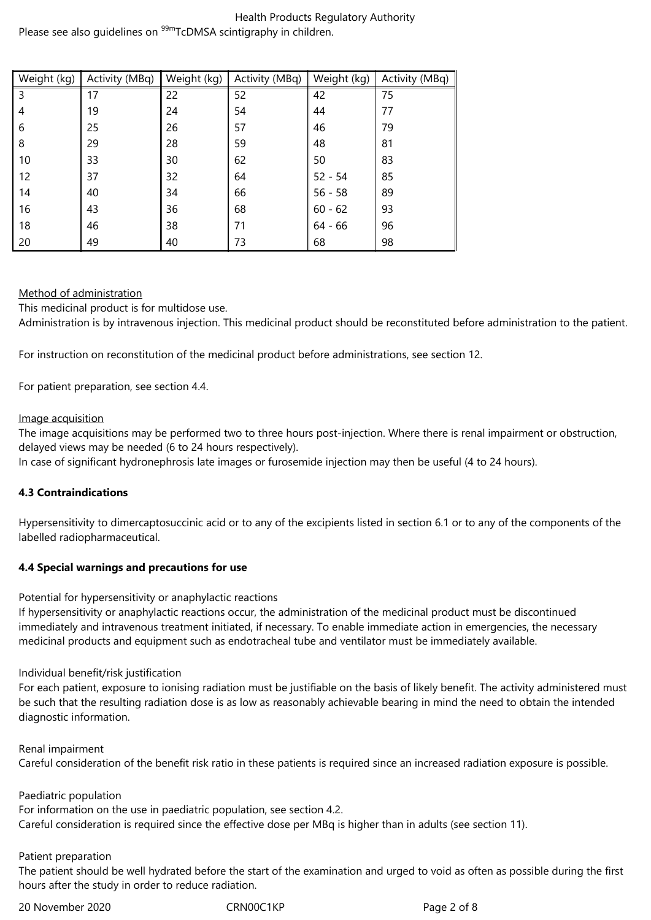#### Health Products Regulatory Authority Please see also quidelines on <sup>99m</sup>TcDMSA scintigraphy in children.

| Weight (kg) | Activity (MBq) | Weight (kg) | Activity (MBq) | Weight (kg) | Activity (MBq) |
|-------------|----------------|-------------|----------------|-------------|----------------|
| 3           | 17             | 22          | 52             | 42          | 75             |
| 4           | 19             | 24          | 54             | 44          | 77             |
| -6          | 25             | 26          | 57             | 46          | 79             |
| 8           | 29             | 28          | 59             | 48          | 81             |
| 10          | 33             | 30          | 62             | 50          | 83             |
| 12          | 37             | 32          | 64             | $52 - 54$   | 85             |
| 14          | 40             | 34          | 66             | $56 - 58$   | 89             |
| 16          | 43             | 36          | 68             | $60 - 62$   | 93             |
| 18          | 46             | 38          | 71             | $64 - 66$   | 96             |
| 20          | 49             | 40          | 73             | 68          | 98             |

# Method of administration

This medicinal product is for multidose use.

Administration is by intravenous injection. This medicinal product should be reconstituted before administration to the patient.

For instruction on reconstitution of the medicinal product before administrations, see section 12.

For patient preparation, see section 4.4.

# Image acquisition

The image acquisitions may be performed two to three hours post-injection. Where there is renal impairment or obstruction, delayed views may be needed (6 to 24 hours respectively).

In case of significant hydronephrosis late images or furosemide injection may then be useful (4 to 24 hours).

# **4.3 Contraindications**

Hypersensitivity to dimercaptosuccinic acid or to any of the excipients listed in section 6.1 or to any of the components of the labelled radiopharmaceutical.

# **4.4 Special warnings and precautions for use**

Potential for hypersensitivity or anaphylactic reactions

If hypersensitivity or anaphylactic reactions occur, the administration of the medicinal product must be discontinued immediately and intravenous treatment initiated, if necessary. To enable immediate action in emergencies, the necessary medicinal products and equipment such as endotracheal tube and ventilator must be immediately available.

# Individual benefit/risk justification

For each patient, exposure to ionising radiation must be justifiable on the basis of likely benefit. The activity administered must be such that the resulting radiation dose is as low as reasonably achievable bearing in mind the need to obtain the intended diagnostic information.

Renal impairment

Careful consideration of the benefit risk ratio in these patients is required since an increased radiation exposure is possible.

Paediatric population

For information on the use in paediatric population, see section 4.2.

Careful consideration is required since the effective dose per MBq is higher than in adults (see section 11).

# Patient preparation

The patient should be well hydrated before the start of the examination and urged to void as often as possible during the first hours after the study in order to reduce radiation.

20 November 2020 CRN00C1KP Page 2 of 8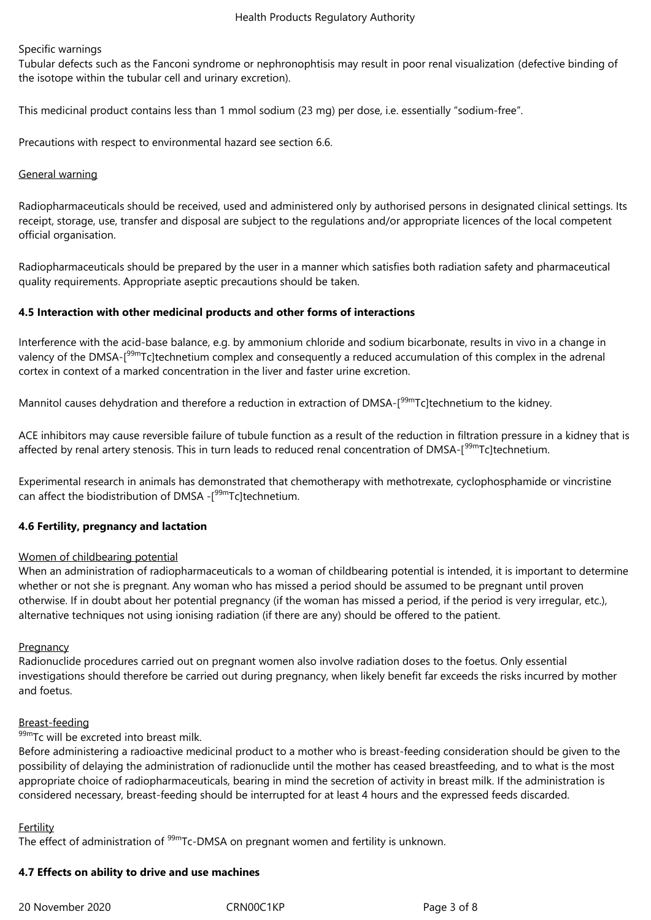#### Specific warnings

Tubular defects such as the Fanconi syndrome or nephronophtisis may result in poor renal visualization (defective binding of the isotope within the tubular cell and urinary excretion).

This medicinal product contains less than 1 mmol sodium (23 mg) per dose, i.e. essentially "sodium-free".

Precautions with respect to environmental hazard see section 6.6.

#### General warning

Radiopharmaceuticals should be received, used and administered only by authorised persons in designated clinical settings. Its receipt, storage, use, transfer and disposal are subject to the regulations and/or appropriate licences of the local competent official organisation.

Radiopharmaceuticals should be prepared by the user in a manner which satisfies both radiation safety and pharmaceutical quality requirements. Appropriate aseptic precautions should be taken.

# **4.5 Interaction with other medicinal products and other forms of interactions**

Interference with the acid-base balance, e.g. by ammonium chloride and sodium bicarbonate, results in vivo in a change in valency of the DMSA-[<sup>99m</sup>Tc]technetium complex and consequently a reduced accumulation of this complex in the adrenal cortex in context of a marked concentration in the liver and faster urine excretion.

Mannitol causes dehydration and therefore a reduction in extraction of DMSA-[<sup>99m</sup>Tc]technetium to the kidney.

ACE inhibitors may cause reversible failure of tubule function as a result of the reduction in filtration pressure in a kidney that is affected by renal artery stenosis. This in turn leads to reduced renal concentration of DMSA-[<sup>99m</sup>Tc]technetium.

Experimental research in animals has demonstrated that chemotherapy with methotrexate, cyclophosphamide or vincristine can affect the biodistribution of DMSA -<sup>[99m</sup>Tc]technetium.

# **4.6 Fertility, pregnancy and lactation**

#### Women of childbearing potential

When an administration of radiopharmaceuticals to a woman of childbearing potential is intended, it is important to determine whether or not she is pregnant. Any woman who has missed a period should be assumed to be pregnant until proven otherwise. If in doubt about her potential pregnancy (if the woman has missed a period, if the period is very irregular, etc.), alternative techniques not using ionising radiation (if there are any) should be offered to the patient.

#### **Pregnancy**

Radionuclide procedures carried out on pregnant women also involve radiation doses to the foetus. Only essential investigations should therefore be carried out during pregnancy, when likely benefit far exceeds the risks incurred by mother and foetus.

#### Breast-feeding

#### $99m$ Tc will be excreted into breast milk.

Before administering a radioactive medicinal product to a mother who is breast-feeding consideration should be given to the possibility of delaying the administration of radionuclide until the mother has ceased breastfeeding, and to what is the most appropriate choice of radiopharmaceuticals, bearing in mind the secretion of activity in breast milk. If the administration is considered necessary, breast-feeding should be interrupted for at least 4 hours and the expressed feeds discarded.

#### Fertility

The effect of administration of <sup>99m</sup>Tc-DMSA on pregnant women and fertility is unknown.

# **4.7 Effects on ability to drive and use machines**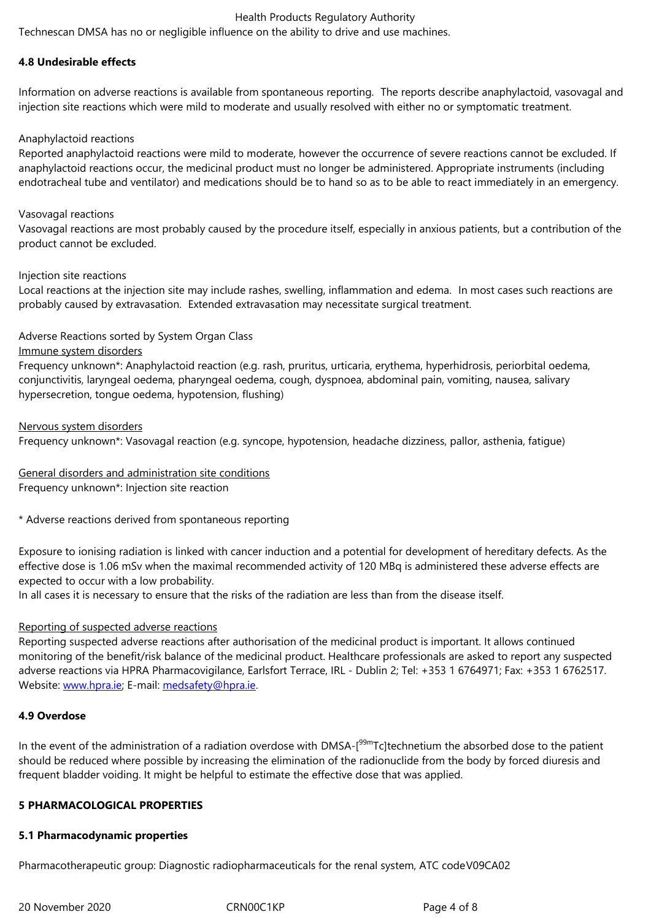#### **4.8 Undesirable effects**

Information on adverse reactions is available from spontaneous reporting. The reports describe anaphylactoid, vasovagal and injection site reactions which were mild to moderate and usually resolved with either no or symptomatic treatment.

#### Anaphylactoid reactions

Reported anaphylactoid reactions were mild to moderate, however the occurrence of severe reactions cannot be excluded. If anaphylactoid reactions occur, the medicinal product must no longer be administered. Appropriate instruments (including endotracheal tube and ventilator) and medications should be to hand so as to be able to react immediately in an emergency.

#### Vasovagal reactions

Vasovagal reactions are most probably caused by the procedure itself, especially in anxious patients, but a contribution of the product cannot be excluded.

#### Injection site reactions

Local reactions at the injection site may include rashes, swelling, inflammation and edema. In most cases such reactions are probably caused by extravasation. Extended extravasation may necessitate surgical treatment.

#### Adverse Reactions sorted by System Organ Class

Immune system disorders

Frequency unknown\*: Anaphylactoid reaction (e.g. rash, pruritus, urticaria, erythema, hyperhidrosis, periorbital oedema, conjunctivitis, laryngeal oedema, pharyngeal oedema, cough, dyspnoea, abdominal pain, vomiting, nausea, salivary hypersecretion, tongue oedema, hypotension, flushing)

Nervous system disorders Frequency unknown\*: Vasovagal reaction (e.g. syncope, hypotension, headache dizziness, pallor, asthenia, fatigue)

General disorders and administration site conditions Frequency unknown\*: Injection site reaction

\* Adverse reactions derived from spontaneous reporting

Exposure to ionising radiation is linked with cancer induction and a potential for development of hereditary defects. As the effective dose is 1.06 mSv when the maximal recommended activity of 120 MBq is administered these adverse effects are expected to occur with a low probability.

In all cases it is necessary to ensure that the risks of the radiation are less than from the disease itself.

#### Reporting of suspected adverse reactions

Reporting suspected adverse reactions after authorisation of the medicinal product is important. It allows continued monitoring of the benefit/risk balance of the medicinal product. Healthcare professionals are asked to report any suspected adverse reactions via HPRA Pharmacovigilance, Earlsfort Terrace, IRL - Dublin 2; Tel: +353 1 6764971; Fax: +353 1 6762517. Website: www.hpra.ie; E-mail: medsafety@hpra.ie.

#### **4.9 Overdose**

In the ev[ent of the adm](http://www.hpra.ie/)inistra[tion of a radiation o](mailto:medsafety@hpra.ie)verdose with DMSA-[<sup>99m</sup>Tc]technetium the absorbed dose to the patient should be reduced where possible by increasing the elimination of the radionuclide from the body by forced diuresis and frequent bladder voiding. It might be helpful to estimate the effective dose that was applied.

# **5 PHARMACOLOGICAL PROPERTIES**

#### **5.1 Pharmacodynamic properties**

Pharmacotherapeutic group: Diagnostic radiopharmaceuticals for the renal system, ATC codeV09CA02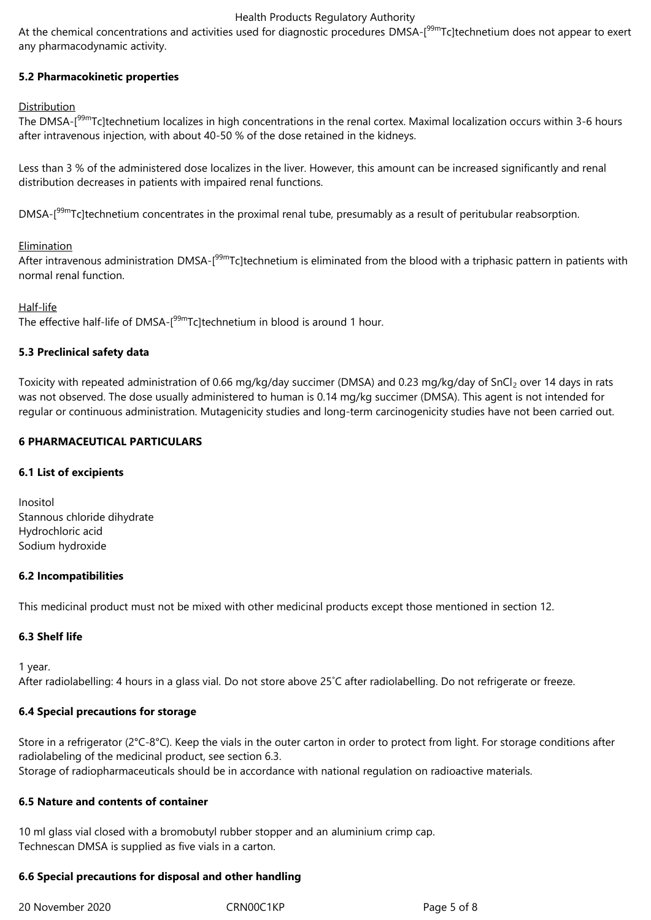#### Health Products Regulatory Authority

At the chemical concentrations and activities used for diagnostic procedures DMSA-<sup>[99m</sup>Tc]technetium does not appear to exert any pharmacodynamic activity.

# **5.2 Pharmacokinetic properties**

#### Distribution

The DMSA-[<sup>99m</sup>Tc]technetium localizes in high concentrations in the renal cortex. Maximal localization occurs within 3-6 hours after intravenous injection, with about 40-50 % of the dose retained in the kidneys.

Less than 3 % of the administered dose localizes in the liver. However, this amount can be increased significantly and renal distribution decreases in patients with impaired renal functions.

DMSA-<sup>[99m</sup>Tc]technetium concentrates in the proximal renal tube, presumably as a result of peritubular reabsorption.

#### Elimination

After intravenous administration DMSA-<sup>[99m</sup>Tc]technetium is eliminated from the blood with a triphasic pattern in patients with normal renal function.

Half-life

The effective half-life of DMSA-[<sup>99m</sup>Tc]technetium in blood is around 1 hour.

# **5.3 Preclinical safety data**

Toxicity with repeated administration of 0.66 mg/kg/day succimer (DMSA) and 0.23 mg/kg/day of SnCl<sub>2</sub> over 14 days in rats was not observed. The dose usually administered to human is 0.14 mg/kg succimer (DMSA). This agent is not intended for regular or continuous administration. Mutagenicity studies and long-term carcinogenicity studies have not been carried out.

# **6 PHARMACEUTICAL PARTICULARS**

#### **6.1 List of excipients**

Inositol Stannous chloride dihydrate Hydrochloric acid Sodium hydroxide

#### **6.2 Incompatibilities**

This medicinal product must not be mixed with other medicinal products except those mentioned in section 12.

# **6.3 Shelf life**

1 year.

After radiolabelling: 4 hours in a glass vial. Do not store above 25˚C after radiolabelling. Do not refrigerate or freeze.

#### **6.4 Special precautions for storage**

Store in a refrigerator (2°C-8°C). Keep the vials in the outer carton in order to protect from light. For storage conditions after radiolabeling of the medicinal product, see section 6.3. Storage of radiopharmaceuticals should be in accordance with national regulation on radioactive materials.

#### **6.5 Nature and contents of container**

10 ml glass vial closed with a bromobutyl rubber stopper and an aluminium crimp cap. Technescan DMSA is supplied as five vials in a carton.

#### **6.6 Special precautions for disposal and other handling**

20 November 2020 CRN00C1KP Page 5 of 8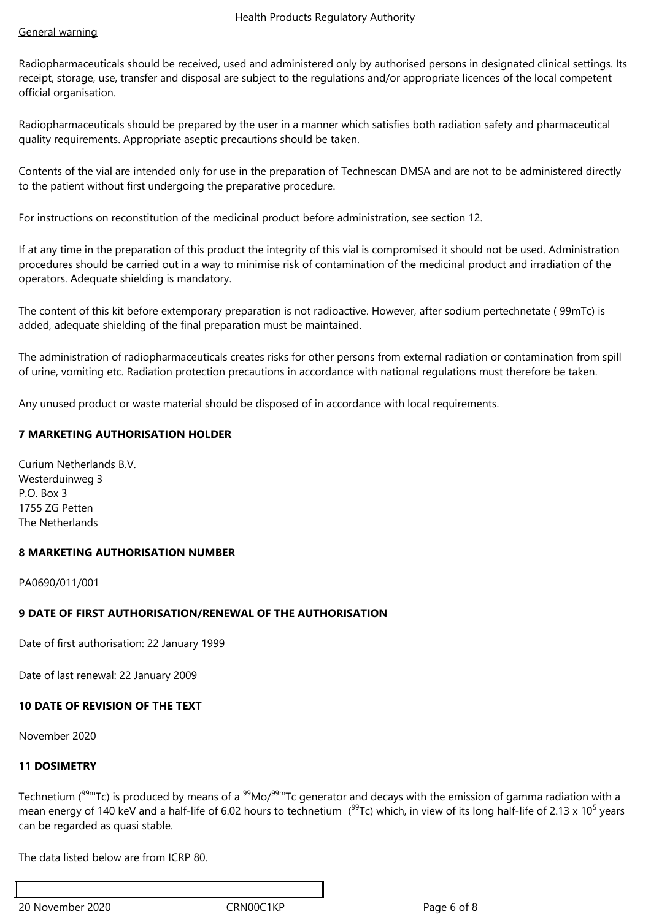# General warning

Radiopharmaceuticals should be received, used and administered only by authorised persons in designated clinical settings. Its receipt, storage, use, transfer and disposal are subject to the regulations and/or appropriate licences of the local competent official organisation.

Radiopharmaceuticals should be prepared by the user in a manner which satisfies both radiation safety and pharmaceutical quality requirements. Appropriate aseptic precautions should be taken.

Contents of the vial are intended only for use in the preparation of Technescan DMSA and are not to be administered directly to the patient without first undergoing the preparative procedure.

For instructions on reconstitution of the medicinal product before administration, see section 12.

If at any time in the preparation of this product the integrity of this vial is compromised it should not be used. Administration procedures should be carried out in a way to minimise risk of contamination of the medicinal product and irradiation of the operators. Adequate shielding is mandatory.

The content of this kit before extemporary preparation is not radioactive. However, after sodium pertechnetate ( 99mTc) is added, adequate shielding of the final preparation must be maintained.

The administration of radiopharmaceuticals creates risks for other persons from external radiation or contamination from spill of urine, vomiting etc. Radiation protection precautions in accordance with national regulations must therefore be taken.

Any unused product or waste material should be disposed of in accordance with local requirements.

# **7 MARKETING AUTHORISATION HOLDER**

Curium Netherlands B.V. Westerduinweg 3 P.O. Box 3 1755 ZG Petten The Netherlands

# **8 MARKETING AUTHORISATION NUMBER**

PA0690/011/001

# **9 DATE OF FIRST AUTHORISATION/RENEWAL OF THE AUTHORISATION**

Date of first authorisation: 22 January 1999

Date of last renewal: 22 January 2009

# **10 DATE OF REVISION OF THE TEXT**

November 2020

# **11 DOSIMETRY**

Technetium ( $99m$ Tc) is produced by means of a  $99Mo/99m$ Tc generator and decays with the emission of gamma radiation with a mean energy of 140 keV and a half-life of 6.02 hours to technetium  $(99)$ Tc) which, in view of its long half-life of 2.13 x 10<sup>5</sup> years can be regarded as quasi stable.

The data listed below are from ICRP 80.

20 November 2020 **CRNOOC1KP** CRNOOC1KP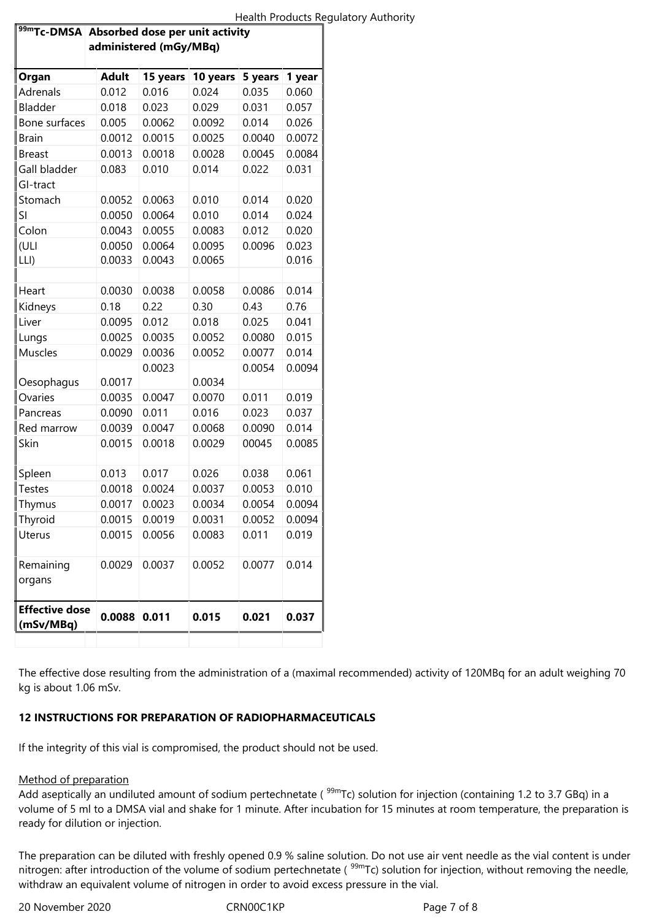| <sup>99m</sup> Tc-DMSA Absorbed dose per unit activity<br>administered (mGy/MBq) |              |          |          |         |        |  |  |
|----------------------------------------------------------------------------------|--------------|----------|----------|---------|--------|--|--|
| Organ                                                                            | <b>Adult</b> | 15 years | 10 years | 5 years | 1 year |  |  |
| Adrenals                                                                         | 0.012        | 0.016    | 0.024    | 0.035   | 0.060  |  |  |
| Bladder                                                                          | 0.018        | 0.023    | 0.029    | 0.031   | 0.057  |  |  |
| Bone surfaces                                                                    | 0.005        | 0.0062   | 0.0092   | 0.014   | 0.026  |  |  |
| <b>Brain</b>                                                                     | 0.0012       | 0.0015   | 0.0025   | 0.0040  | 0.0072 |  |  |
| <b>Breast</b>                                                                    | 0.0013       | 0.0018   | 0.0028   | 0.0045  | 0.0084 |  |  |
| Gall bladder                                                                     | 0.083        | 0.010    | 0.014    | 0.022   | 0.031  |  |  |
| GI-tract                                                                         |              |          |          |         |        |  |  |
| Stomach                                                                          | 0.0052       | 0.0063   | 0.010    | 0.014   | 0.020  |  |  |
| SI                                                                               | 0.0050       | 0.0064   | 0.010    | 0.014   | 0.024  |  |  |
| Colon                                                                            | 0.0043       | 0.0055   | 0.0083   | 0.012   | 0.020  |  |  |
| (ULI                                                                             | 0.0050       | 0.0064   | 0.0095   | 0.0096  | 0.023  |  |  |
| LLI)                                                                             | 0.0033       | 0.0043   | 0.0065   |         | 0.016  |  |  |
|                                                                                  |              |          |          |         |        |  |  |
| Heart                                                                            | 0.0030       | 0.0038   | 0.0058   | 0.0086  | 0.014  |  |  |
| Kidneys                                                                          | 0.18         | 0.22     | 0.30     | 0.43    | 0.76   |  |  |
| Liver                                                                            | 0.0095       | 0.012    | 0.018    | 0.025   | 0.041  |  |  |
| Lungs                                                                            | 0.0025       | 0.0035   | 0.0052   | 0.0080  | 0.015  |  |  |
| Muscles                                                                          | 0.0029       | 0.0036   | 0.0052   | 0.0077  | 0.014  |  |  |
|                                                                                  |              | 0.0023   |          | 0.0054  | 0.0094 |  |  |
| Oesophagus                                                                       | 0.0017       |          | 0.0034   |         |        |  |  |
| Ovaries                                                                          | 0.0035       | 0.0047   | 0.0070   | 0.011   | 0.019  |  |  |
| Pancreas                                                                         | 0.0090       | 0.011    | 0.016    | 0.023   | 0.037  |  |  |
| Red marrow                                                                       | 0.0039       | 0.0047   | 0.0068   | 0.0090  | 0.014  |  |  |
| Skin                                                                             | 0.0015       | 0.0018   | 0.0029   | 00045   | 0.0085 |  |  |
| Spleen                                                                           | 0.013        | 0.017    | 0.026    | 0.038   | 0.061  |  |  |
| Testes                                                                           | 0.0018       | 0.0024   | 0.0037   | 0.0053  | 0.010  |  |  |
| Thymus                                                                           | 0.0017       | 0.0023   | 0.0034   | 0.0054  | 0.0094 |  |  |
| Thyroid                                                                          | 0.0015       | 0.0019   | 0.0031   | 0.0052  | 0.0094 |  |  |
| Uterus                                                                           | 0.0015       | 0.0056   | 0.0083   | 0.011   | 0.019  |  |  |
| Remaining<br>organs                                                              | 0.0029       | 0.0037   | 0.0052   | 0.0077  | 0.014  |  |  |
| <b>Effective dose</b><br>(mSv/MBq)                                               | 0.0088       | 0.011    | 0.015    | 0.021   | 0.037  |  |  |

The effective dose resulting from the administration of a (maximal recommended) activity of 120MBq for an adult weighing 70 kg is about 1.06 mSv.

# **12 INSTRUCTIONS FOR PREPARATION OF RADIOPHARMACEUTICALS**

If the integrity of this vial is compromised, the product should not be used.

# Method of preparation

Add aseptically an undiluted amount of sodium pertechnetate ( $99m$ Tc) solution for injection (containing 1.2 to 3.7 GBq) in a volume of 5 ml to a DMSA vial and shake for 1 minute. After incubation for 15 minutes at room temperature, the preparation is ready for dilution or injection.

The preparation can be diluted with freshly opened 0.9 % saline solution. Do not use air vent needle as the vial content is under nitrogen: after introduction of the volume of sodium pertechnetate (<sup>99m</sup>Tc) solution for injection, without removing the needle, withdraw an equivalent volume of nitrogen in order to avoid excess pressure in the vial.

20 November 2020 **CRNOOC1KP** CRNOOC1KP Page 7 of 8